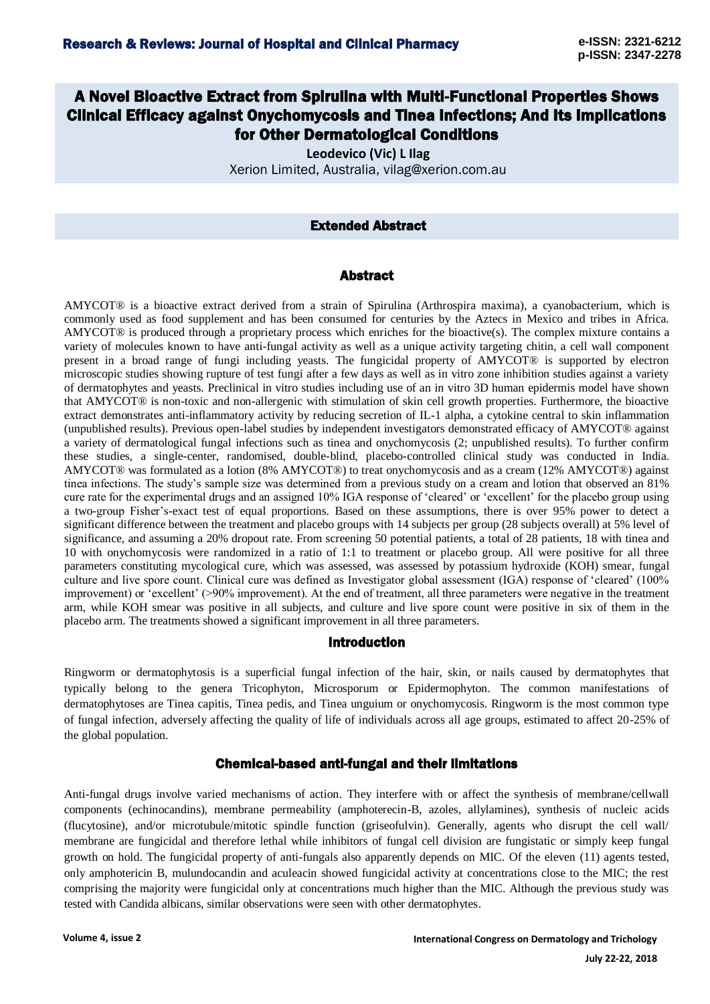# A Novel Bioactive Extract from Spirulina with Multi-Functional Properties Shows Clinical Efficacy against Onychomycosis and Tinea Infections; And Its Implications for Other Dermatological Conditions

**Leodevico (Vic) L Ilag**  Xerion Limited, Australia, vilag@xerion.com.au

## Extended Abstract

#### Abstract

AMYCOT® is a bioactive extract derived from a strain of Spirulina (Arthrospira maxima), a cyanobacterium, which is commonly used as food supplement and has been consumed for centuries by the Aztecs in Mexico and tribes in Africa. AMYCOT® is produced through a proprietary process which enriches for the bioactive(s). The complex mixture contains a variety of molecules known to have anti-fungal activity as well as a unique activity targeting chitin, a cell wall component present in a broad range of fungi including yeasts. The fungicidal property of AMYCOT® is supported by electron microscopic studies showing rupture of test fungi after a few days as well as in vitro zone inhibition studies against a variety of dermatophytes and yeasts. Preclinical in vitro studies including use of an in vitro 3D human epidermis model have shown that AMYCOT® is non-toxic and non-allergenic with stimulation of skin cell growth properties. Furthermore, the bioactive extract demonstrates anti-inflammatory activity by reducing secretion of IL-1 alpha, a cytokine central to skin inflammation (unpublished results). Previous open-label studies by independent investigators demonstrated efficacy of AMYCOT® against a variety of dermatological fungal infections such as tinea and onychomycosis (2; unpublished results). To further confirm these studies, a single-center, randomised, double-blind, placebo-controlled clinical study was conducted in India. AMYCOT® was formulated as a lotion (8% AMYCOT®) to treat onychomycosis and as a cream (12% AMYCOT®) against tinea infections. The study's sample size was determined from a previous study on a cream and lotion that observed an 81% cure rate for the experimental drugs and an assigned 10% IGA response of 'cleared' or 'excellent' for the placebo group using a two-group Fisher's-exact test of equal proportions. Based on these assumptions, there is over 95% power to detect a significant difference between the treatment and placebo groups with 14 subjects per group (28 subjects overall) at 5% level of significance, and assuming a 20% dropout rate. From screening 50 potential patients, a total of 28 patients, 18 with tinea and 10 with onychomycosis were randomized in a ratio of 1:1 to treatment or placebo group. All were positive for all three parameters constituting mycological cure, which was assessed, was assessed by potassium hydroxide (KOH) smear, fungal culture and live spore count. Clinical cure was defined as Investigator global assessment (IGA) response of 'cleared' (100% improvement) or 'excellent' (>90% improvement). At the end of treatment, all three parameters were negative in the treatment arm, while KOH smear was positive in all subjects, and culture and live spore count were positive in six of them in the placebo arm. The treatments showed a significant improvement in all three parameters.

#### Introduction

Ringworm or dermatophytosis is a superficial fungal infection of the hair, skin, or nails caused by dermatophytes that typically belong to the genera Tricophyton, Microsporum or Epidermophyton. The common manifestations of dermatophytoses are Tinea capitis, Tinea pedis, and Tinea unguium or onychomycosis. Ringworm is the most common type of fungal infection, adversely affecting the quality of life of individuals across all age groups, estimated to affect 20-25% of the global population.

# Chemical-based anti-fungal and their limitations

Anti-fungal drugs involve varied mechanisms of action. They interfere with or affect the synthesis of membrane/cellwall components (echinocandins), membrane permeability (amphoterecin-B, azoles, allylamines), synthesis of nucleic acids (flucytosine), and/or microtubule/mitotic spindle function (griseofulvin). Generally, agents who disrupt the cell wall/ membrane are fungicidal and therefore lethal while inhibitors of fungal cell division are fungistatic or simply keep fungal growth on hold. The fungicidal property of anti-fungals also apparently depends on MIC. Of the eleven (11) agents tested, only amphotericin B, mulundocandin and aculeacin showed fungicidal activity at concentrations close to the MIC; the rest comprising the majority were fungicidal only at concentrations much higher than the MIC. Although the previous study was tested with Candida albicans, similar observations were seen with other dermatophytes.